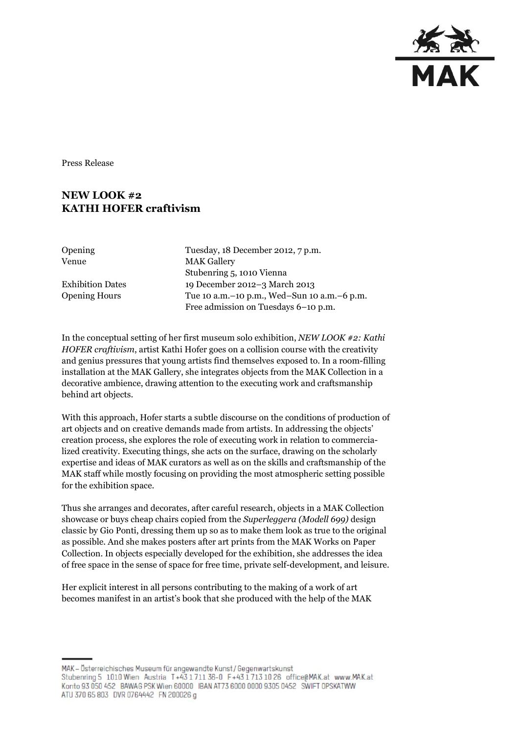

Press Release

## **NEW LOOK #2 KATHI HOFER craftivism**

Opening Tuesday, 18 December 2012, 7 p.m. Venue MAK Gallery Stubenring 5, 1010 Vienna Exhibition Dates 19 December 2012–3 March 2013 Opening Hours Tue 10 a.m.–10 p.m., Wed–Sun 10 a.m.–6 p.m. Free admission on Tuesdays 6–10 p.m.

In the conceptual setting of her first museum solo exhibition, *NEW LOOK #2: Kathi HOFER craftivism*, artist Kathi Hofer goes on a collision course with the creativity and genius pressures that young artists find themselves exposed to. In a room-filling installation at the MAK Gallery, she integrates objects from the MAK Collection in a decorative ambience, drawing attention to the executing work and craftsmanship behind art objects.

With this approach, Hofer starts a subtle discourse on the conditions of production of art objects and on creative demands made from artists. In addressing the objects' creation process, she explores the role of executing work in relation to commercialized creativity. Executing things, she acts on the surface, drawing on the scholarly expertise and ideas of MAK curators as well as on the skills and craftsmanship of the MAK staff while mostly focusing on providing the most atmospheric setting possible for the exhibition space.

Thus she arranges and decorates, after careful research, objects in a MAK Collection showcase or buys cheap chairs copied from the *Superleggera (Modell 699)* design classic by Gio Ponti, dressing them up so as to make them look as true to the original as possible. And she makes posters after art prints from the MAK Works on Paper Collection. In objects especially developed for the exhibition, she addresses the idea of free space in the sense of space for free time, private self-development, and leisure.

Her explicit interest in all persons contributing to the making of a work of art becomes manifest in an artist's book that she produced with the help of the MAK

MAK - Österreichisches Museum für angewandte Kunst/Gegenwartskunst Stubenring 5 1010 Wien Austria T+43 1 711 36-0 F+43 1 713 10 26 office@MAK.at www.MAK.at Konto 93 050 452 BAWAG PSK Wien 60000 BAN AT73 6000 0000 9305 0452 SWIFT OPSKATWW ATU 370 65 803 DVR 0764442 FN 200026 g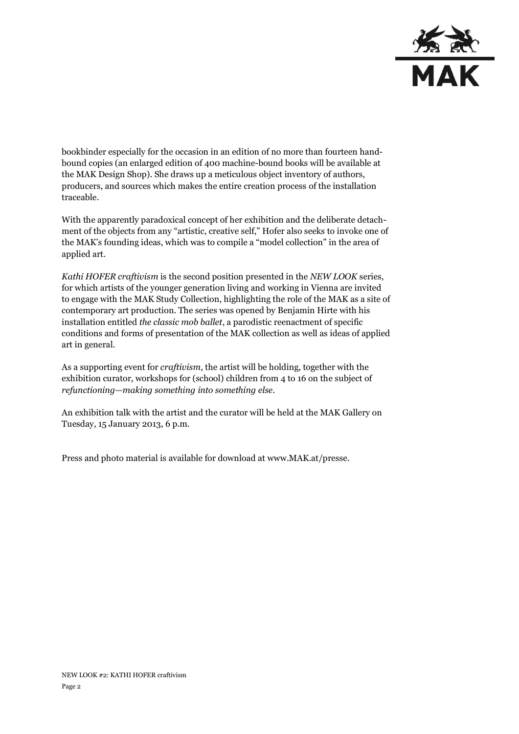

bookbinder especially for the occasion in an edition of no more than fourteen handbound copies (an enlarged edition of 400 machine-bound books will be available at the MAK Design Shop). She draws up a meticulous object inventory of authors, producers, and sources which makes the entire creation process of the installation traceable.

With the apparently paradoxical concept of her exhibition and the deliberate detachment of the objects from any "artistic, creative self," Hofer also seeks to invoke one of the MAK's founding ideas, which was to compile a "model collection" in the area of applied art.

*Kathi HOFER craftivism* is the second position presented in the *NEW LOOK* series, for which artists of the younger generation living and working in Vienna are invited to engage with the MAK Study Collection, highlighting the role of the MAK as a site of contemporary art production. The series was opened by Benjamin Hirte with his installation entitled *the classic mob ballet*, a parodistic reenactment of specific conditions and forms of presentation of the MAK collection as well as ideas of applied art in general.

As a supporting event for *craftivism*, the artist will be holding, together with the exhibition curator, workshops for (school) children from 4 to 16 on the subject of *refunctioning—making something into something else*.

An exhibition talk with the artist and the curator will be held at the MAK Gallery on Tuesday, 15 January 2013, 6 p.m.

Press and photo material is available for download at [www.MAK.at/presse.](http://www.mak.at/presse)